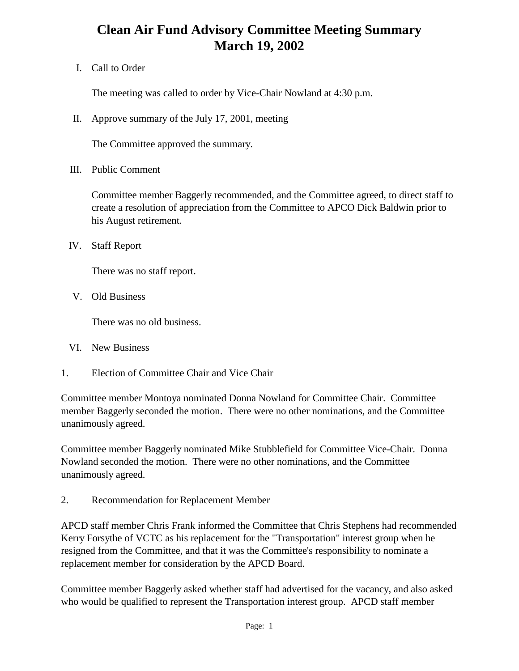## **Clean Air Fund Advisory Committee Meeting Summary March 19, 2002**

I. Call to Order

The meeting was called to order by Vice-Chair Nowland at 4:30 p.m.

II. Approve summary of the July 17, 2001, meeting

The Committee approved the summary.

III. Public Comment

Committee member Baggerly recommended, and the Committee agreed, to direct staff to create a resolution of appreciation from the Committee to APCO Dick Baldwin prior to his August retirement.

IV. Staff Report

There was no staff report.

V. Old Business

There was no old business.

- VI. New Business
- 1. Election of Committee Chair and Vice Chair

Committee member Montoya nominated Donna Nowland for Committee Chair. Committee member Baggerly seconded the motion. There were no other nominations, and the Committee unanimously agreed.

Committee member Baggerly nominated Mike Stubblefield for Committee Vice-Chair. Donna Nowland seconded the motion. There were no other nominations, and the Committee unanimously agreed.

2. Recommendation for Replacement Member

APCD staff member Chris Frank informed the Committee that Chris Stephens had recommended Kerry Forsythe of VCTC as his replacement for the "Transportation" interest group when he resigned from the Committee, and that it was the Committee's responsibility to nominate a replacement member for consideration by the APCD Board.

Committee member Baggerly asked whether staff had advertised for the vacancy, and also asked who would be qualified to represent the Transportation interest group. APCD staff member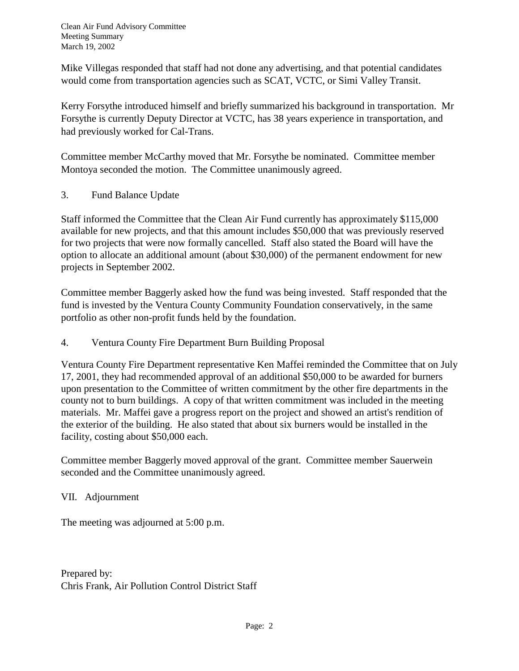Clean Air Fund Advisory Committee Meeting Summary March 19, 2002

Mike Villegas responded that staff had not done any advertising, and that potential candidates would come from transportation agencies such as SCAT, VCTC, or Simi Valley Transit.

Kerry Forsythe introduced himself and briefly summarized his background in transportation. Mr Forsythe is currently Deputy Director at VCTC, has 38 years experience in transportation, and had previously worked for Cal-Trans.

Committee member McCarthy moved that Mr. Forsythe be nominated. Committee member Montoya seconded the motion. The Committee unanimously agreed.

3. Fund Balance Update

Staff informed the Committee that the Clean Air Fund currently has approximately \$115,000 available for new projects, and that this amount includes \$50,000 that was previously reserved for two projects that were now formally cancelled. Staff also stated the Board will have the option to allocate an additional amount (about \$30,000) of the permanent endowment for new projects in September 2002.

Committee member Baggerly asked how the fund was being invested. Staff responded that the fund is invested by the Ventura County Community Foundation conservatively, in the same portfolio as other non-profit funds held by the foundation.

4. Ventura County Fire Department Burn Building Proposal

Ventura County Fire Department representative Ken Maffei reminded the Committee that on July 17, 2001, they had recommended approval of an additional \$50,000 to be awarded for burners upon presentation to the Committee of written commitment by the other fire departments in the county not to burn buildings. A copy of that written commitment was included in the meeting materials. Mr. Maffei gave a progress report on the project and showed an artist's rendition of the exterior of the building. He also stated that about six burners would be installed in the facility, costing about \$50,000 each.

Committee member Baggerly moved approval of the grant. Committee member Sauerwein seconded and the Committee unanimously agreed.

VII. Adjournment

The meeting was adjourned at 5:00 p.m.

Prepared by: Chris Frank, Air Pollution Control District Staff